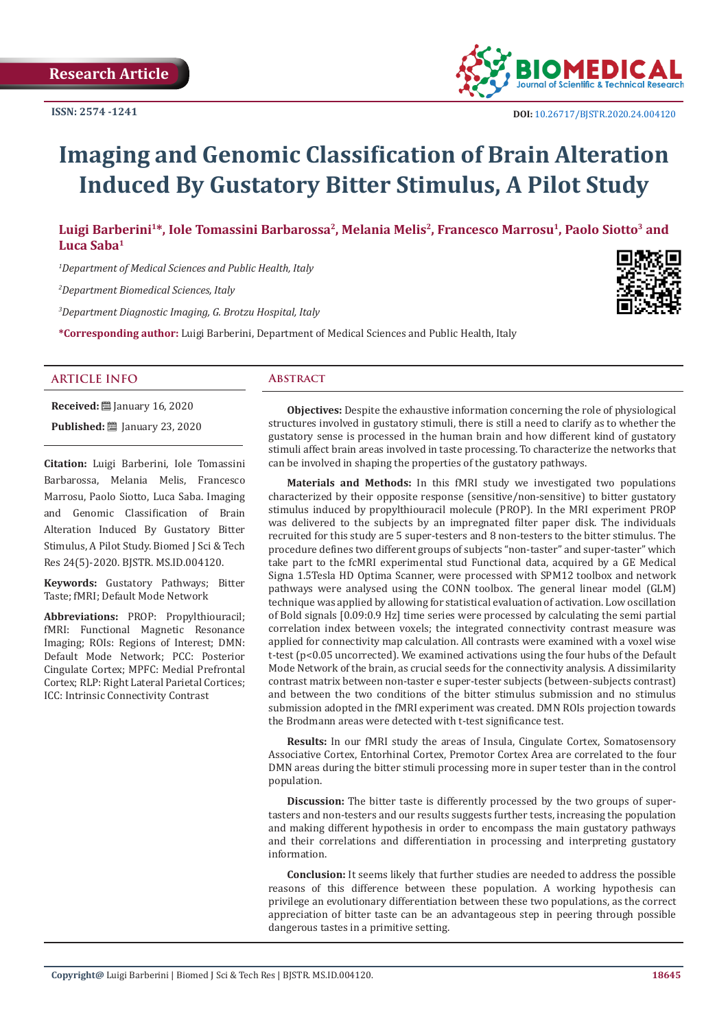

# **Imaging and Genomic Classification of Brain Alteration Induced By Gustatory Bitter Stimulus, A Pilot Study**

**Luigi Barberini<sup>1</sup>\*, Iole Tomassini Barbarossa<sup>2</sup>, Melania Melis<sup>2</sup>, Francesco Marrosu<sup>1</sup>, Paolo Siotto3 and Luca Saba<sup>1</sup>**

*1 Department of Medical Sciences and Public Health, Italy*

*2 Department Biomedical Sciences, Italy*

*3 Department Diagnostic Imaging, G. Brotzu Hospital, Italy*

**\*Corresponding author:** Luigi Barberini, Department of Medical Sciences and Public Health, Italy



### **ARTICLE INFO Abstract**

**Received:** January 16, 2020 **Published: □ January 23, 2020** 

**Citation:** Luigi Barberini, Iole Tomassini Barbarossa, Melania Melis, Francesco Marrosu, Paolo Siotto, Luca Saba. Imaging and Genomic Classification of Brain Alteration Induced By Gustatory Bitter Stimulus, A Pilot Study. Biomed J Sci & Tech Res 24(5)-2020. BJSTR. MS.ID.004120.

**Keywords:** Gustatory Pathways; Bitter Taste; fMRI; Default Mode Network

**Abbreviations:** PROP: Propylthiouracil; fMRI: Functional Magnetic Resonance Imaging; ROIs: Regions of Interest; DMN: Default Mode Network; PCC: Posterior Cingulate Cortex; MPFC: Medial Prefrontal Cortex; RLP: Right Lateral Parietal Cortices; ICC: Intrinsic Connectivity Contrast

**Objectives:** Despite the exhaustive information concerning the role of physiological structures involved in gustatory stimuli, there is still a need to clarify as to whether the gustatory sense is processed in the human brain and how different kind of gustatory stimuli affect brain areas involved in taste processing. To characterize the networks that can be involved in shaping the properties of the gustatory pathways.

**Materials and Methods:** In this fMRI study we investigated two populations characterized by their opposite response (sensitive/non-sensitive) to bitter gustatory stimulus induced by propylthiouracil molecule (PROP). In the MRI experiment PROP was delivered to the subjects by an impregnated filter paper disk. The individuals recruited for this study are 5 super-testers and 8 non-testers to the bitter stimulus. The procedure defines two different groups of subjects "non-taster" and super-taster" which take part to the fcMRI experimental stud Functional data, acquired by a GE Medical Signa 1.5Tesla HD Optima Scanner, were processed with SPM12 toolbox and network pathways were analysed using the CONN toolbox. The general linear model (GLM) technique was applied by allowing for statistical evaluation of activation. Low oscillation of Bold signals [0.09:0.9 Hz] time series were processed by calculating the semi partial correlation index between voxels; the integrated connectivity contrast measure was applied for connectivity map calculation. All contrasts were examined with a voxel wise t-test (p<0.05 uncorrected). We examined activations using the four hubs of the Default Mode Network of the brain, as crucial seeds for the connectivity analysis. A dissimilarity contrast matrix between non-taster e super-tester subjects (between-subjects contrast) and between the two conditions of the bitter stimulus submission and no stimulus submission adopted in the fMRI experiment was created. DMN ROIs projection towards the Brodmann areas were detected with t-test significance test.

**Results:** In our fMRI study the areas of Insula, Cingulate Cortex, Somatosensory Associative Cortex, Entorhinal Cortex, Premotor Cortex Area are correlated to the four DMN areas during the bitter stimuli processing more in super tester than in the control population.

**Discussion:** The bitter taste is differently processed by the two groups of supertasters and non-testers and our results suggests further tests, increasing the population and making different hypothesis in order to encompass the main gustatory pathways and their correlations and differentiation in processing and interpreting gustatory information.

**Conclusion:** It seems likely that further studies are needed to address the possible reasons of this difference between these population. A working hypothesis can privilege an evolutionary differentiation between these two populations, as the correct appreciation of bitter taste can be an advantageous step in peering through possible dangerous tastes in a primitive setting.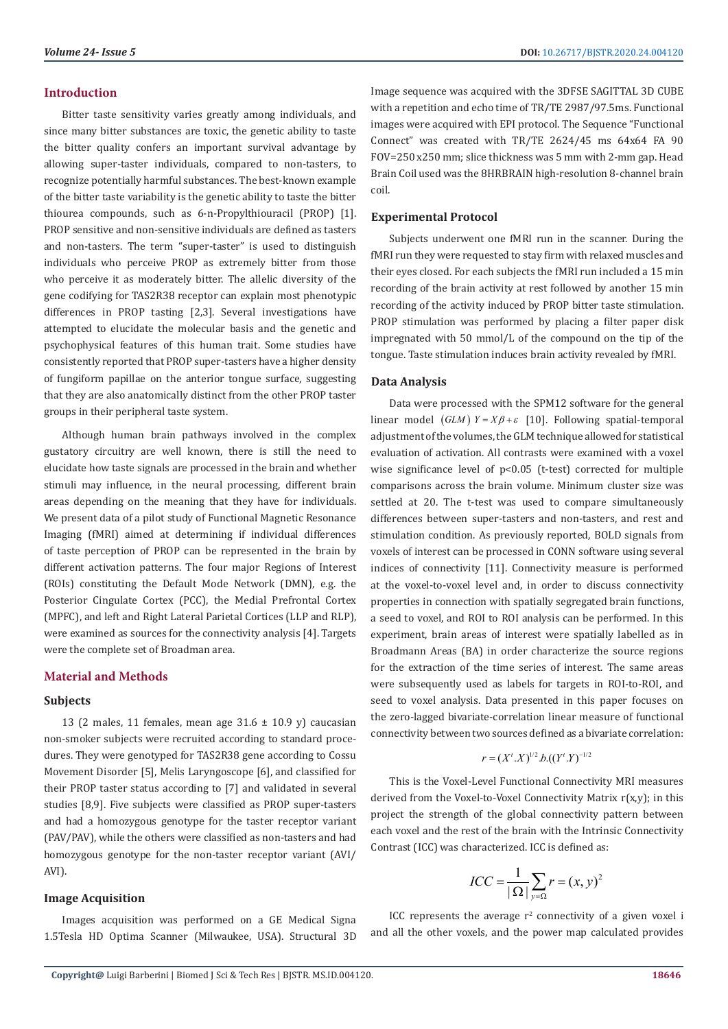# **Introduction**

Bitter taste sensitivity varies greatly among individuals, and since many bitter substances are toxic, the genetic ability to taste the bitter quality confers an important survival advantage by allowing super-taster individuals, compared to non-tasters, to recognize potentially harmful substances. The best-known example of the bitter taste variability is the genetic ability to taste the bitter thiourea compounds, such as 6-n-Propylthiouracil (PROP) [1]. PROP sensitive and non-sensitive individuals are defined as tasters and non-tasters. The term "super-taster" is used to distinguish individuals who perceive PROP as extremely bitter from those who perceive it as moderately bitter. The allelic diversity of the gene codifying for TAS2R38 receptor can explain most phenotypic differences in PROP tasting [2,3]. Several investigations have attempted to elucidate the molecular basis and the genetic and psychophysical features of this human trait. Some studies have consistently reported that PROP super-tasters have a higher density of fungiform papillae on the anterior tongue surface, suggesting that they are also anatomically distinct from the other PROP taster groups in their peripheral taste system.

Although human brain pathways involved in the complex gustatory circuitry are well known, there is still the need to elucidate how taste signals are processed in the brain and whether stimuli may influence, in the neural processing, different brain areas depending on the meaning that they have for individuals. We present data of a pilot study of Functional Magnetic Resonance Imaging (fMRI) aimed at determining if individual differences of taste perception of PROP can be represented in the brain by different activation patterns. The four major Regions of Interest (ROIs) constituting the Default Mode Network (DMN), e.g. the Posterior Cingulate Cortex (PCC), the Medial Prefrontal Cortex (MPFC), and left and Right Lateral Parietal Cortices (LLP and RLP), were examined as sources for the connectivity analysis [4]. Targets were the complete set of Broadman area.

# **Material and Methods**

# **Subjects**

13 (2 males, 11 females, mean age  $31.6 \pm 10.9$  y) caucasian non-smoker subjects were recruited according to standard procedures. They were genotyped for TAS2R38 gene according to Cossu Movement Disorder [5], Melis Laryngoscope [6], and classified for their PROP taster status according to [7] and validated in several studies [8,9]. Five subjects were classified as PROP super-tasters and had a homozygous genotype for the taster receptor variant (PAV/PAV), while the others were classified as non-tasters and had homozygous genotype for the non-taster receptor variant (AVI/ AVI).

# **Image Acquisition**

Images acquisition was performed on a GE Medical Signa 1.5Tesla HD Optima Scanner (Milwaukee, USA). Structural 3D Image sequence was acquired with the 3DFSE SAGITTAL 3D CUBE with a repetition and echo time of TR/TE 2987/97.5ms. Functional images were acquired with EPI protocol. The Sequence "Functional Connect" was created with TR/TE 2624/45 ms 64x64 FA 90 FOV=250 x250 mm; slice thickness was 5 mm with 2-mm gap. Head Brain Coil used was the 8HRBRAIN high-resolution 8-channel brain coil.

### **Experimental Protocol**

Subjects underwent one fMRI run in the scanner. During the fMRI run they were requested to stay firm with relaxed muscles and their eyes closed. For each subjects the fMRI run included a 15 min recording of the brain activity at rest followed by another 15 min recording of the activity induced by PROP bitter taste stimulation. PROP stimulation was performed by placing a filter paper disk impregnated with 50 mmol/L of the compound on the tip of the tongue. Taste stimulation induces brain activity revealed by fMRI.

#### **Data Analysis**

Data were processed with the SPM12 software for the general linear model (*GLM*)  $Y = X\beta + \varepsilon$  [10]. Following spatial-temporal adjustment of the volumes, the GLM technique allowed for statistical evaluation of activation. All contrasts were examined with a voxel wise significance level of p<0.05 (t-test) corrected for multiple comparisons across the brain volume. Minimum cluster size was settled at 20. The t-test was used to compare simultaneously differences between super-tasters and non-tasters, and rest and stimulation condition. As previously reported, BOLD signals from voxels of interest can be processed in CONN software using several indices of connectivity [11]. Connectivity measure is performed at the voxel-to-voxel level and, in order to discuss connectivity properties in connection with spatially segregated brain functions, a seed to voxel, and ROI to ROI analysis can be performed. In this experiment, brain areas of interest were spatially labelled as in Broadmann Areas (BA) in order characterize the source regions for the extraction of the time series of interest. The same areas were subsequently used as labels for targets in ROI-to-ROI, and seed to voxel analysis. Data presented in this paper focuses on the zero-lagged bivariate-correlation linear measure of functional connectivity between two sources defined as a bivariate correlation:

$$
r = (X^t \cdot X)^{1/2} \cdot b \cdot ((Y^t \cdot Y)^{-1/2})
$$

This is the Voxel-Level Functional Connectivity MRI measures derived from the Voxel-to-Voxel Connectivity Matrix r(x,y); in this project the strength of the global connectivity pattern between each voxel and the rest of the brain with the Intrinsic Connectivity Contrast (ICC) was characterized. ICC is defined as:

$$
ICC = \frac{1}{|\Omega|} \sum_{y=\Omega} r = (x, y)^2
$$

ICC represents the average  $r^2$  connectivity of a given voxel i and all the other voxels, and the power map calculated provides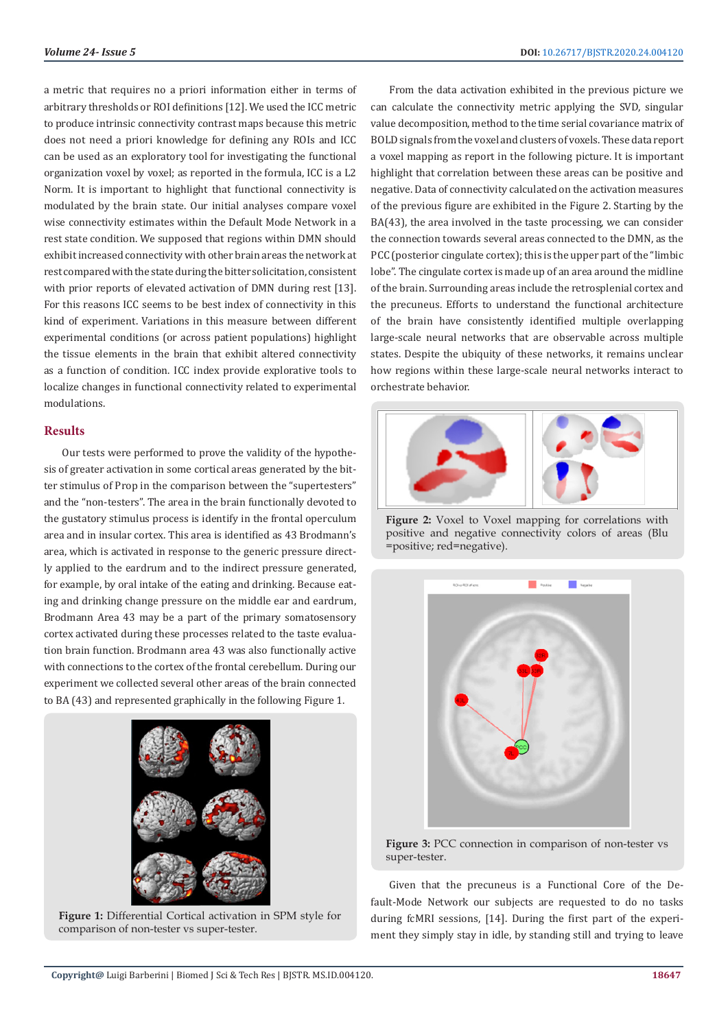a metric that requires no a priori information either in terms of arbitrary thresholds or ROI definitions [12]. We used the ICC metric to produce intrinsic connectivity contrast maps because this metric does not need a priori knowledge for defining any ROIs and ICC can be used as an exploratory tool for investigating the functional organization voxel by voxel; as reported in the formula, ICC is a L2 Norm. It is important to highlight that functional connectivity is modulated by the brain state. Our initial analyses compare voxel wise connectivity estimates within the Default Mode Network in a rest state condition. We supposed that regions within DMN should exhibit increased connectivity with other brain areas the network at rest compared with the state during the bitter solicitation, consistent with prior reports of elevated activation of DMN during rest [13]. For this reasons ICC seems to be best index of connectivity in this kind of experiment. Variations in this measure between different experimental conditions (or across patient populations) highlight the tissue elements in the brain that exhibit altered connectivity as a function of condition. ICC index provide explorative tools to localize changes in functional connectivity related to experimental modulations.

### **Results**

Our tests were performed to prove the validity of the hypothesis of greater activation in some cortical areas generated by the bitter stimulus of Prop in the comparison between the "supertesters" and the "non-testers". The area in the brain functionally devoted to the gustatory stimulus process is identify in the frontal operculum area and in insular cortex. This area is identified as 43 Brodmann's area, which is activated in response to the generic pressure directly applied to the eardrum and to the indirect pressure generated, for example, by oral intake of the eating and drinking. Because eating and drinking change pressure on the middle ear and eardrum, Brodmann Area 43 may be a part of the primary somatosensory cortex activated during these processes related to the taste evaluation brain function. Brodmann area 43 was also functionally active with connections to the cortex of the frontal cerebellum. During our experiment we collected several other areas of the brain connected to BA (43) and represented graphically in the following Figure 1.



**Figure 1:** Differential Cortical activation in SPM style for comparison of non-tester vs super-tester.

From the data activation exhibited in the previous picture we can calculate the connectivity metric applying the SVD, singular value decomposition, method to the time serial covariance matrix of BOLD signals from the voxel and clusters of voxels. These data report a voxel mapping as report in the following picture. It is important highlight that correlation between these areas can be positive and negative. Data of connectivity calculated on the activation measures of the previous figure are exhibited in the Figure 2. Starting by the BA(43), the area involved in the taste processing, we can consider the connection towards several areas connected to the DMN, as the PCC (posterior cingulate cortex); this is the upper part of the "limbic lobe". The cingulate cortex is made up of an area around the midline of the brain. Surrounding areas include the retrosplenial cortex and the precuneus. Efforts to understand the functional architecture of the brain have consistently identified multiple overlapping large-scale neural networks that are observable across multiple states. Despite the ubiquity of these networks, it remains unclear how regions within these large-scale neural networks interact to orchestrate behavior.



Figure 2: Voxel to Voxel mapping for correlations with positive and negative connectivity colors of areas (Blu =positive; red=negative).



**Figure 3:** PCC connection in comparison of non-tester vs super-tester.

Given that the precuneus is a Functional Core of the Default-Mode Network our subjects are requested to do no tasks during fcMRI sessions, [14]. During the first part of the experiment they simply stay in idle, by standing still and trying to leave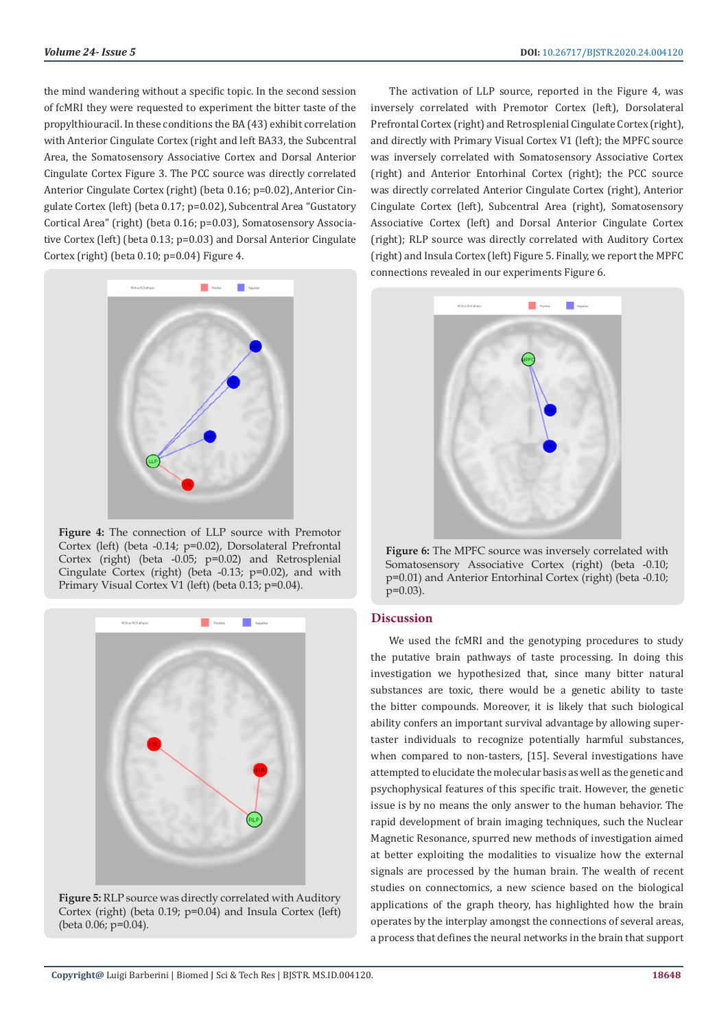the mind wandering without a specific topic. In the second session of fcMRI they were requested to experiment the bitter taste of the propylthiouracil. In these conditions the BA (43) exhibit correlation with Anterior Cingulate Cortex (right and left BA33, the Subcentral Area, the Somatosensory Associative Cortex and Dorsal Anterior Cingulate Cortex Figure 3. The PCC source was directly correlated Anterior Cingulate Cortex (right) (beta 0.16; p=0.02), Anterior Cingulate Cortex (left) (beta 0.17; p=0.02), Subcentral Area "Gustatory Cortical Area" (right) (beta 0.16; p=0.03), Somatosensory Associative Cortex (left) (beta 0.13; p=0.03) and Dorsal Anterior Cingulate Cortex (right) (beta 0.10; p=0.04) Figure 4.



**Figure 4:** The connection of LLP source with Premotor Cortex (left) (beta -0.14; p=0.02), Dorsolateral Prefrontal Cortex (right) (beta -0.05; p=0.02) and Retrosplenial Cingulate Cortex (right) (beta -0.13; p=0.02), and with Primary Visual Cortex V1 (left) (beta 0.13; p=0.04).



**Figure 5:** RLP source was directly correlated with Auditory Cortex (right) (beta 0.19; p=0.04) and Insula Cortex (left) (beta 0.06; p=0.04).

The activation of LLP source, reported in the Figure 4, was inversely correlated with Premotor Cortex (left), Dorsolateral Prefrontal Cortex (right) and Retrosplenial Cingulate Cortex (right), and directly with Primary Visual Cortex V1 (left); the MPFC source was inversely correlated with Somatosensory Associative Cortex (right) and Anterior Entorhinal Cortex (right); the PCC source was directly correlated Anterior Cingulate Cortex (right), Anterior Cingulate Cortex (left), Subcentral Area (right), Somatosensory Associative Cortex (left) and Dorsal Anterior Cingulate Cortex (right); RLP source was directly correlated with Auditory Cortex (right) and Insula Cortex (left) Figure 5. Finally, we report the MPFC connections revealed in our experiments Figure 6.



**Figure 6:** The MPFC source was inversely correlated with Somatosensory Associative Cortex (right) (beta -0.10; p=0.01) and Anterior Entorhinal Cortex (right) (beta -0.10; p=0.03).

# **Discussion**

We used the fcMRI and the genotyping procedures to study the putative brain pathways of taste processing. In doing this investigation we hypothesized that, since many bitter natural substances are toxic, there would be a genetic ability to taste the bitter compounds. Moreover, it is likely that such biological ability confers an important survival advantage by allowing supertaster individuals to recognize potentially harmful substances, when compared to non-tasters, [15]. Several investigations have attempted to elucidate the molecular basis as well as the genetic and psychophysical features of this specific trait. However, the genetic issue is by no means the only answer to the human behavior. The rapid development of brain imaging techniques, such the Nuclear Magnetic Resonance, spurred new methods of investigation aimed at better exploiting the modalities to visualize how the external signals are processed by the human brain. The wealth of recent studies on connectomics, a new science based on the biological applications of the graph theory, has highlighted how the brain operates by the interplay amongst the connections of several areas, a process that defines the neural networks in the brain that support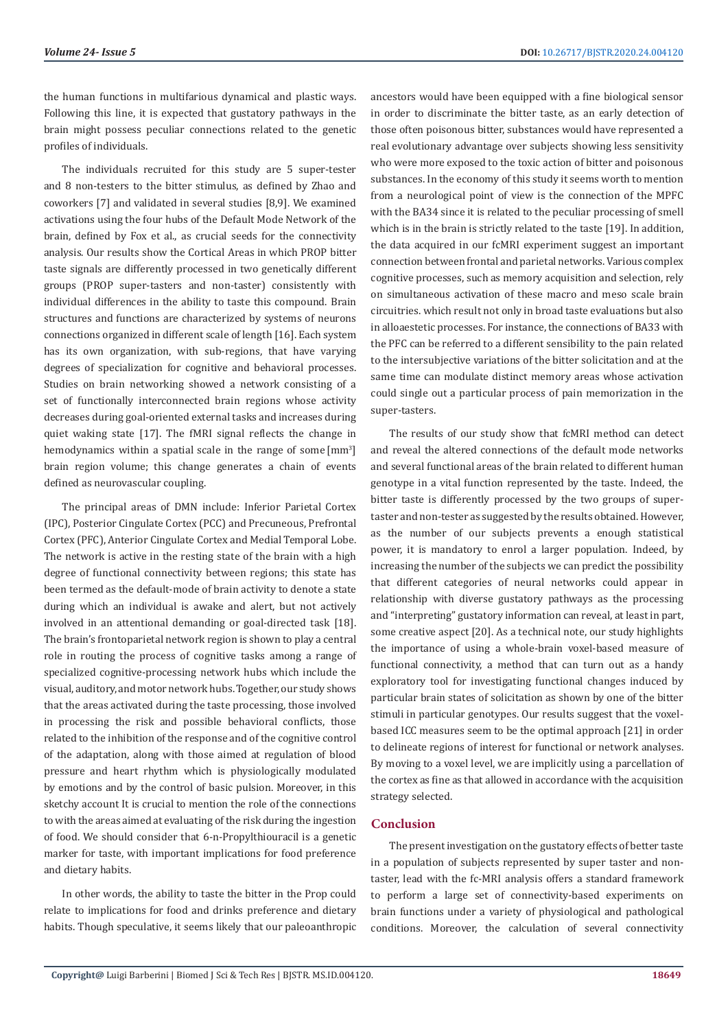the human functions in multifarious dynamical and plastic ways. Following this line, it is expected that gustatory pathways in the brain might possess peculiar connections related to the genetic profiles of individuals.

The individuals recruited for this study are 5 super-tester and 8 non-testers to the bitter stimulus, as defined by Zhao and coworkers [7] and validated in several studies [8,9]. We examined activations using the four hubs of the Default Mode Network of the brain, defined by Fox et al., as crucial seeds for the connectivity analysis. Our results show the Cortical Areas in which PROP bitter taste signals are differently processed in two genetically different groups (PROP super-tasters and non-taster) consistently with individual differences in the ability to taste this compound. Brain structures and functions are characterized by systems of neurons connections organized in different scale of length [16]. Each system has its own organization, with sub-regions, that have varying degrees of specialization for cognitive and behavioral processes. Studies on brain networking showed a network consisting of a set of functionally interconnected brain regions whose activity decreases during goal-oriented external tasks and increases during quiet waking state [17]. The fMRI signal reflects the change in hemodynamics within a spatial scale in the range of some<sup>[mm3]</sup> brain region volume; this change generates a chain of events defined as neurovascular coupling.

The principal areas of DMN include: Inferior Parietal Cortex (IPC), Posterior Cingulate Cortex (PCC) and Precuneous, Prefrontal Cortex (PFC), Anterior Cingulate Cortex and Medial Temporal Lobe. The network is active in the resting state of the brain with a high degree of functional connectivity between regions; this state has been termed as the default-mode of brain activity to denote a state during which an individual is awake and alert, but not actively involved in an attentional demanding or goal-directed task [18]. The brain's frontoparietal network region is shown to play a central role in routing the process of cognitive tasks among a range of specialized cognitive-processing network hubs which include the visual, auditory, and motor network hubs. Together, our study shows that the areas activated during the taste processing, those involved in processing the risk and possible behavioral conflicts, those related to the inhibition of the response and of the cognitive control of the adaptation, along with those aimed at regulation of blood pressure and heart rhythm which is physiologically modulated by emotions and by the control of basic pulsion. Moreover, in this sketchy account It is crucial to mention the role of the connections to with the areas aimed at evaluating of the risk during the ingestion of food. We should consider that 6-n-Propylthiouracil is a genetic marker for taste, with important implications for food preference and dietary habits.

In other words, the ability to taste the bitter in the Prop could relate to implications for food and drinks preference and dietary habits. Though speculative, it seems likely that our paleoanthropic ancestors would have been equipped with a fine biological sensor in order to discriminate the bitter taste, as an early detection of those often poisonous bitter, substances would have represented a real evolutionary advantage over subjects showing less sensitivity who were more exposed to the toxic action of bitter and poisonous substances. In the economy of this study it seems worth to mention from a neurological point of view is the connection of the MPFC with the BA34 since it is related to the peculiar processing of smell which is in the brain is strictly related to the taste [19]. In addition, the data acquired in our fcMRI experiment suggest an important connection between frontal and parietal networks. Various complex cognitive processes, such as memory acquisition and selection, rely on simultaneous activation of these macro and meso scale brain circuitries. which result not only in broad taste evaluations but also in alloaestetic processes. For instance, the connections of BA33 with the PFC can be referred to a different sensibility to the pain related to the intersubjective variations of the bitter solicitation and at the same time can modulate distinct memory areas whose activation could single out a particular process of pain memorization in the super-tasters.

The results of our study show that fcMRI method can detect and reveal the altered connections of the default mode networks and several functional areas of the brain related to different human genotype in a vital function represented by the taste. Indeed, the bitter taste is differently processed by the two groups of supertaster and non-tester as suggested by the results obtained. However, as the number of our subjects prevents a enough statistical power, it is mandatory to enrol a larger population. Indeed, by increasing the number of the subjects we can predict the possibility that different categories of neural networks could appear in relationship with diverse gustatory pathways as the processing and "interpreting" gustatory information can reveal, at least in part, some creative aspect [20]. As a technical note, our study highlights the importance of using a whole-brain voxel-based measure of functional connectivity, a method that can turn out as a handy exploratory tool for investigating functional changes induced by particular brain states of solicitation as shown by one of the bitter stimuli in particular genotypes. Our results suggest that the voxelbased ICC measures seem to be the optimal approach [21] in order to delineate regions of interest for functional or network analyses. By moving to a voxel level, we are implicitly using a parcellation of the cortex as fine as that allowed in accordance with the acquisition strategy selected.

# **Conclusion**

The present investigation on the gustatory effects of better taste in a population of subjects represented by super taster and nontaster, lead with the fc-MRI analysis offers a standard framework to perform a large set of connectivity-based experiments on brain functions under a variety of physiological and pathological conditions. Moreover, the calculation of several connectivity